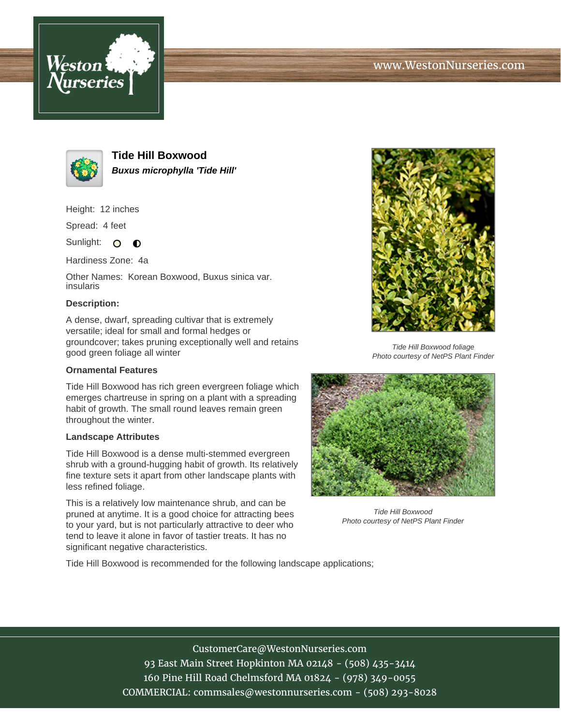



**Tide Hill Boxwood Buxus microphylla 'Tide Hill'**

Height: 12 inches

Spread: 4 feet

Sunlight: O  $\bullet$ 

Hardiness Zone: 4a

Other Names: Korean Boxwood, Buxus sinica var. insularis

## **Description:**

A dense, dwarf, spreading cultivar that is extremely versatile; ideal for small and formal hedges or groundcover; takes pruning exceptionally well and retains good green foliage all winter

## **Ornamental Features**

Tide Hill Boxwood has rich green evergreen foliage which emerges chartreuse in spring on a plant with a spreading habit of growth. The small round leaves remain green throughout the winter.

## **Landscape Attributes**

Tide Hill Boxwood is a dense multi-stemmed evergreen shrub with a ground-hugging habit of growth. Its relatively fine texture sets it apart from other landscape plants with less refined foliage.

This is a relatively low maintenance shrub, and can be pruned at anytime. It is a good choice for attracting bees to your yard, but is not particularly attractive to deer who tend to leave it alone in favor of tastier treats. It has no significant negative characteristics.



Tide Hill Boxwood foliage Photo courtesy of NetPS Plant Finder



Tide Hill Boxwood Photo courtesy of NetPS Plant Finder

Tide Hill Boxwood is recommended for the following landscape applications;

CustomerCare@WestonNurseries.com

93 East Main Street Hopkinton MA 02148 - (508) 435-3414 160 Pine Hill Road Chelmsford MA 01824 - (978) 349-0055 COMMERCIAL: commsales@westonnurseries.com - (508) 293-8028